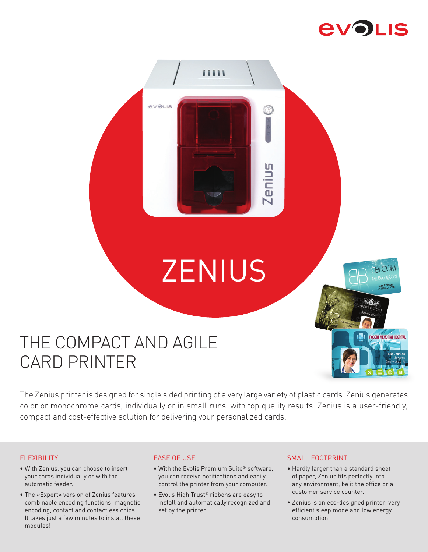# **EVOLIS**



# THE COMPACT AND AGILE CARD PRINTER

The Zenius printer is designed for single sided printing of a very large variety of plastic cards. Zenius generates color or monochrome cards, individually or in small runs, with top quality results. Zenius is a user-friendly, compact and cost-effective solution for delivering your personalized cards.

### FLEXIBILITY

- With Zenius, you can choose to insert your cards individually or with the automatic feeder.
- The «Expert» version of Zenius features combinable encoding functions: magnetic encoding, contact and contactless chips. It takes just a few minutes to install these modules!

## EASE OF USE

- With the Evolis Premium Suite® software, you can receive notifications and easily control the printer from your computer.
- Evolis High Trust® ribbons are easy to install and automatically recognized and set by the printer.

### SMALL FOOTPRINT

- Hardly larger than a standard sheet of paper, Zenius fits perfectly into any environment, be it the office or a customer service counter.
- Zenius is an eco-designed printer: very efficient sleep mode and low energy consumption.